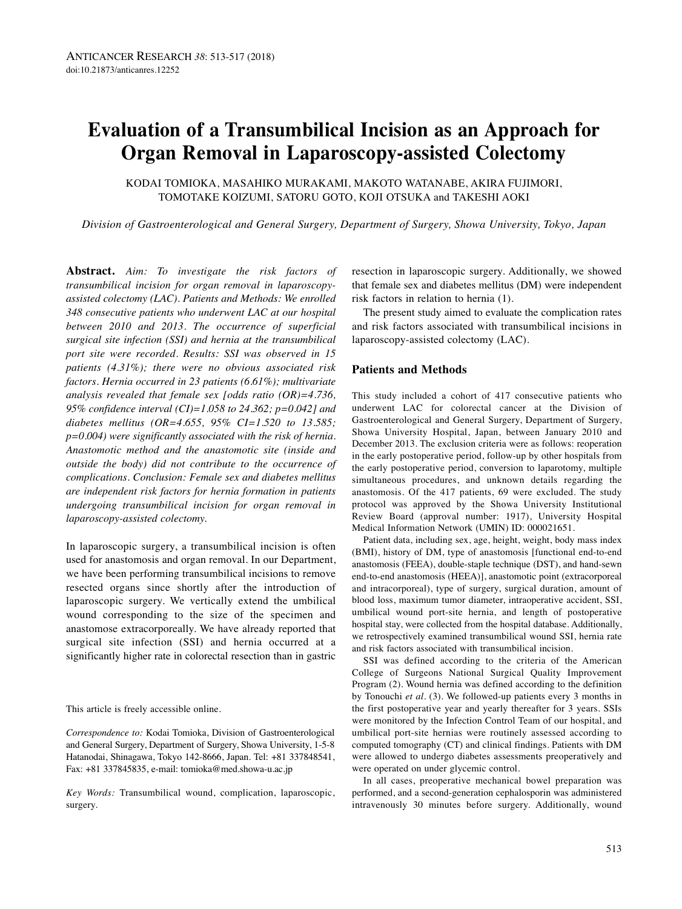# **Evaluation of a Transumbilical Incision as an Approach for Organ Removal in Laparoscopy-assisted Colectomy**

KODAI TOMIOKA, MASAHIKO MURAKAMI, MAKOTO WATANABE, AKIRA FUJIMORI, TOMOTAKE KOIZUMI, SATORU GOTO, KOJI OTSUKA and TAKESHI AOKI

*Division of Gastroenterological and General Surgery, Department of Surgery, Showa University, Tokyo, Japan*

**Abstract.** *Aim: To investigate the risk factors of transumbilical incision for organ removal in laparoscopyassisted colectomy (LAC). Patients and Methods: We enrolled 348 consecutive patients who underwent LAC at our hospital between 2010 and 2013. The occurrence of superficial surgical site infection (SSI) and hernia at the transumbilical port site were recorded. Results: SSI was observed in 15 patients (4.31%); there were no obvious associated risk factors. Hernia occurred in 23 patients (6.61%); multivariate analysis revealed that female sex [odds ratio (OR)=4.736, 95% confidence interval (CI)=1.058 to 24.362; p=0.042] and diabetes mellitus (OR=4.655, 95% CI=1.520 to 13.585; p=0.004) were significantly associated with the risk of hernia. Anastomotic method and the anastomotic site (inside and outside the body) did not contribute to the occurrence of complications. Conclusion: Female sex and diabetes mellitus are independent risk factors for hernia formation in patients undergoing transumbilical incision for organ removal in laparoscopy-assisted colectomy.*

In laparoscopic surgery, a transumbilical incision is often used for anastomosis and organ removal. In our Department, we have been performing transumbilical incisions to remove resected organs since shortly after the introduction of laparoscopic surgery. We vertically extend the umbilical wound corresponding to the size of the specimen and anastomose extracorporeally. We have already reported that surgical site infection (SSI) and hernia occurred at a significantly higher rate in colorectal resection than in gastric

This article is freely accessible online.

*Correspondence to:* Kodai Tomioka, Division of Gastroenterological and General Surgery, Department of Surgery, Showa University, 1-5-8 Hatanodai, Shinagawa, Tokyo 142-8666, Japan. Tel: +81 337848541, Fax: +81 337845835, e-mail: tomioka@med.showa-u.ac.jp

*Key Words:* Transumbilical wound, complication, laparoscopic, surgery.

resection in laparoscopic surgery. Additionally, we showed that female sex and diabetes mellitus (DM) were independent risk factors in relation to hernia (1).

The present study aimed to evaluate the complication rates and risk factors associated with transumbilical incisions in laparoscopy-assisted colectomy (LAC).

### **Patients and Methods**

This study included a cohort of 417 consecutive patients who underwent LAC for colorectal cancer at the Division of Gastroenterological and General Surgery, Department of Surgery, Showa University Hospital, Japan, between January 2010 and December 2013. The exclusion criteria were as follows: reoperation in the early postoperative period, follow-up by other hospitals from the early postoperative period, conversion to laparotomy, multiple simultaneous procedures, and unknown details regarding the anastomosis. Of the 417 patients, 69 were excluded. The study protocol was approved by the Showa University Institutional Review Board (approval number: 1917), University Hospital Medical Information Network (UMIN) ID: 000021651.

Patient data, including sex, age, height, weight, body mass index (BMI), history of DM, type of anastomosis [functional end-to-end anastomosis (FEEA), double-staple technique (DST), and hand-sewn end-to-end anastomosis (HEEA)], anastomotic point (extracorporeal and intracorporeal), type of surgery, surgical duration, amount of blood loss, maximum tumor diameter, intraoperative accident, SSI, umbilical wound port-site hernia, and length of postoperative hospital stay, were collected from the hospital database. Additionally, we retrospectively examined transumbilical wound SSI, hernia rate and risk factors associated with transumbilical incision.

SSI was defined according to the criteria of the American College of Surgeons National Surgical Quality Improvement Program (2). Wound hernia was defined according to the definition by Tonouchi *et al.* (3). We followed-up patients every 3 months in the first postoperative year and yearly thereafter for 3 years. SSIs were monitored by the Infection Control Team of our hospital, and umbilical port-site hernias were routinely assessed according to computed tomography (CT) and clinical findings. Patients with DM were allowed to undergo diabetes assessments preoperatively and were operated on under glycemic control.

In all cases, preoperative mechanical bowel preparation was performed, and a second-generation cephalosporin was administered intravenously 30 minutes before surgery. Additionally, wound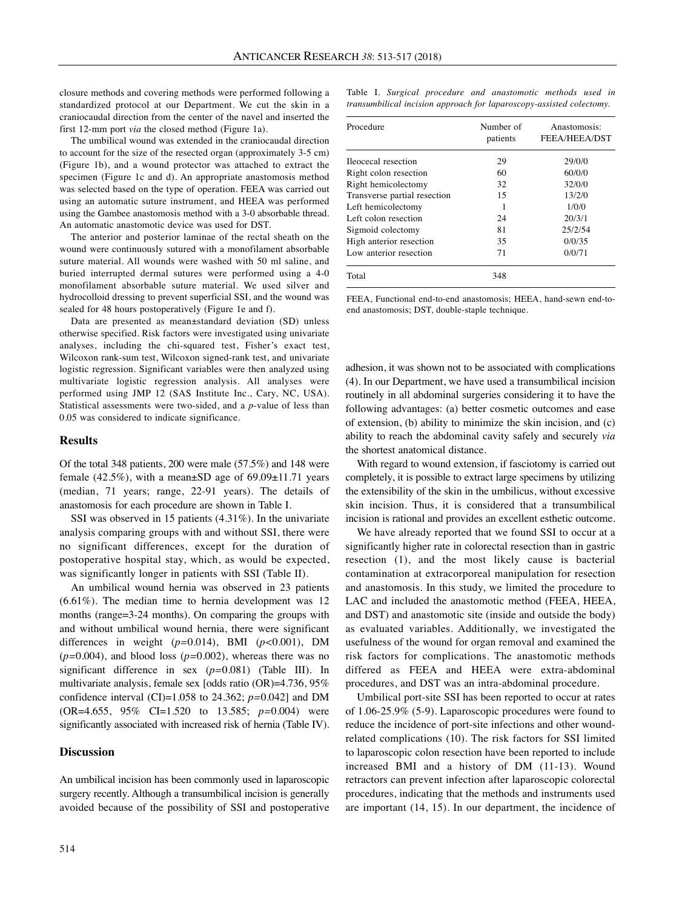closure methods and covering methods were performed following a standardized protocol at our Department. We cut the skin in a craniocaudal direction from the center of the navel and inserted the first 12-mm port *via* the closed method (Figure 1a).

The umbilical wound was extended in the craniocaudal direction to account for the size of the resected organ (approximately 3-5 cm) (Figure 1b), and a wound protector was attached to extract the specimen (Figure 1c and d). An appropriate anastomosis method was selected based on the type of operation. FEEA was carried out using an automatic suture instrument, and HEEA was performed using the Gambee anastomosis method with a 3-0 absorbable thread. An automatic anastomotic device was used for DST.

The anterior and posterior laminae of the rectal sheath on the wound were continuously sutured with a monofilament absorbable suture material. All wounds were washed with 50 ml saline, and buried interrupted dermal sutures were performed using a 4-0 monofilament absorbable suture material. We used silver and hydrocolloid dressing to prevent superficial SSI, and the wound was sealed for 48 hours postoperatively (Figure 1e and f).

Data are presented as mean±standard deviation (SD) unless otherwise specified. Risk factors were investigated using univariate analyses, including the chi-squared test, Fisher's exact test, Wilcoxon rank-sum test, Wilcoxon signed-rank test, and univariate logistic regression. Significant variables were then analyzed using multivariate logistic regression analysis. All analyses were performed using JMP 12 (SAS Institute Inc., Cary, NC, USA). Statistical assessments were two-sided, and a *p*-value of less than 0.05 was considered to indicate significance.

### **Results**

Of the total 348 patients, 200 were male (57.5%) and 148 were female  $(42.5\%)$ , with a mean $\pm$ SD age of 69.09 $\pm$ 11.71 years (median, 71 years; range, 22-91 years). The details of anastomosis for each procedure are shown in Table I.

SSI was observed in 15 patients (4.31%). In the univariate analysis comparing groups with and without SSI, there were no significant differences, except for the duration of postoperative hospital stay, which, as would be expected, was significantly longer in patients with SSI (Table II).

An umbilical wound hernia was observed in 23 patients (6.61%). The median time to hernia development was 12 months (range=3-24 months). On comparing the groups with and without umbilical wound hernia, there were significant differences in weight (*p=*0.014), BMI (*p<*0.001), DM (*p=*0.004), and blood loss (*p=*0.002), whereas there was no significant difference in sex (*p=*0.081) (Table III). In multivariate analysis, female sex [odds ratio (OR)=4.736, 95% confidence interval (CI)=1.058 to 24.362; *p=*0.042] and DM (OR=4.655, 95% CI=1.520 to 13.585; *p=*0.004) were significantly associated with increased risk of hernia (Table IV).

#### **Discussion**

An umbilical incision has been commonly used in laparoscopic surgery recently. Although a transumbilical incision is generally avoided because of the possibility of SSI and postoperative Table I. *Surgical procedure and anastomotic methods used in transumbilical incision approach for laparoscopy-assisted colectomy.*

| Procedure                    | Number of<br>patients | Anastomosis:<br>FEEA/HEEA/DST |
|------------------------------|-----------------------|-------------------------------|
| Ileocecal resection          | 29                    | 29/0/0                        |
| Right colon resection        | 60                    | 60/0/0                        |
| Right hemicolectomy          | 32                    | 32/0/0                        |
| Transverse partial resection | 15                    | 13/2/0                        |
| Left hemicolectomy           | 1                     | 1/0/0                         |
| Left colon resection         | 24                    | 20/3/1                        |
| Sigmoid colectomy            | 81                    | 25/2/54                       |
| High anterior resection      | 35                    | 0/0/35                        |
| Low anterior resection       | 71                    | 0/0/71                        |
| Total                        | 348                   |                               |

FEEA, Functional end-to-end anastomosis; HEEA, hand-sewn end-toend anastomosis; DST, double-staple technique.

adhesion, it was shown not to be associated with complications (4). In our Department, we have used a transumbilical incision routinely in all abdominal surgeries considering it to have the following advantages: (a) better cosmetic outcomes and ease of extension, (b) ability to minimize the skin incision, and (c) ability to reach the abdominal cavity safely and securely *via* the shortest anatomical distance.

With regard to wound extension, if fasciotomy is carried out completely, it is possible to extract large specimens by utilizing the extensibility of the skin in the umbilicus, without excessive skin incision. Thus, it is considered that a transumbilical incision is rational and provides an excellent esthetic outcome.

We have already reported that we found SSI to occur at a significantly higher rate in colorectal resection than in gastric resection (1), and the most likely cause is bacterial contamination at extracorporeal manipulation for resection and anastomosis. In this study, we limited the procedure to LAC and included the anastomotic method (FEEA, HEEA, and DST) and anastomotic site (inside and outside the body) as evaluated variables. Additionally, we investigated the usefulness of the wound for organ removal and examined the risk factors for complications. The anastomotic methods differed as FEEA and HEEA were extra-abdominal procedures, and DST was an intra-abdominal procedure.

Umbilical port-site SSI has been reported to occur at rates of 1.06-25.9% (5-9). Laparoscopic procedures were found to reduce the incidence of port-site infections and other woundrelated complications (10). The risk factors for SSI limited to laparoscopic colon resection have been reported to include increased BMI and a history of DM (11-13). Wound retractors can prevent infection after laparoscopic colorectal procedures, indicating that the methods and instruments used are important (14, 15). In our department, the incidence of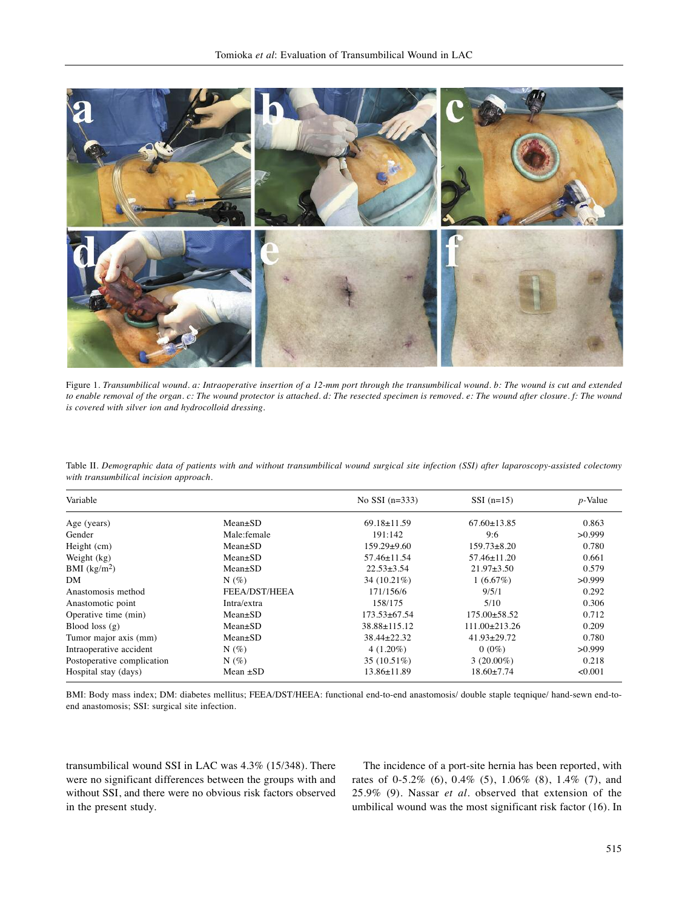

Figure 1. Transumbilical wound. a: Intraoperative insertion of a 12-mm port through the transumbilical wound. b: The wound is cut and extended to enable removal of the organ. c: The wound protector is attached. d: The resected specimen is removed. e: The wound after closure. f: The wound *is covered with silver ion and hydrocolloid dressing.*

| Variable                   |               | No SSI $(n=333)$  | $SSI$ (n=15)        | $p$ -Value |
|----------------------------|---------------|-------------------|---------------------|------------|
| Age (years)                | $Mean \pm SD$ | $69.18 \pm 11.59$ | $67.60 \pm 13.85$   | 0.863      |
| Gender                     | Male:female   | 191:142           | 9:6                 | >0.999     |
| Height (cm)                | $Mean \pm SD$ | $159.29 \pm 9.60$ | $159.73 \pm 8.20$   | 0.780      |
| Weight (kg)                | $Mean \pm SD$ | $57.46 \pm 11.54$ | $57.46 \pm 11.20$   | 0.661      |
| BMI $(kg/m2)$              | $Mean \pm SD$ | $22.53 \pm 3.54$  | $21.97 \pm 3.50$    | 0.579      |
| DM                         | $N(\%)$       | 34 (10.21%)       | 1(6.67%)            | >0.999     |
| Anastomosis method         | FEEA/DST/HEEA | 171/156/6         | 9/5/1               | 0.292      |
| Anastomotic point          | Intra/extra   | 158/175           | 5/10                | 0.306      |
| Operative time (min)       | $Mean \pm SD$ | 173.53±67.54      | $175.00 \pm 58.52$  | 0.712      |
| Blood loss $(g)$           | $Mean \pm SD$ | 38.88±115.12      | $111.00 \pm 213.26$ | 0.209      |
| Tumor major axis (mm)      | $Mean \pm SD$ | 38.44±22.32       | $41.93 \pm 29.72$   | 0.780      |
| Intraoperative accident    | $N(\%)$       | $4(1.20\%)$       | $0(0\%)$            | >0.999     |
| Postoperative complication | $N(\%)$       | $35(10.51\%)$     | $3(20.00\%)$        | 0.218      |
| Hospital stay (days)       | Mean $\pm SD$ | $13.86 \pm 11.89$ | $18.60 \pm 7.74$    | < 0.001    |

Table II. Demographic data of patients with and without transumbilical wound surgical site infection (SSI) after laparoscopy-assisted colectomy *with transumbilical incision approach.*

BMI: Body mass index; DM: diabetes mellitus; FEEA/DST/HEEA: functional end-to-end anastomosis/ double staple teqnique/ hand-sewn end-toend anastomosis; SSI: surgical site infection.

transumbilical wound SSI in LAC was 4.3% (15/348). There were no significant differences between the groups with and without SSI, and there were no obvious risk factors observed in the present study.

The incidence of a port-site hernia has been reported, with rates of 0-5.2% (6), 0.4% (5), 1.06% (8), 1.4% (7), and 25.9% (9). Nassar *et al.* observed that extension of the umbilical wound was the most significant risk factor (16). In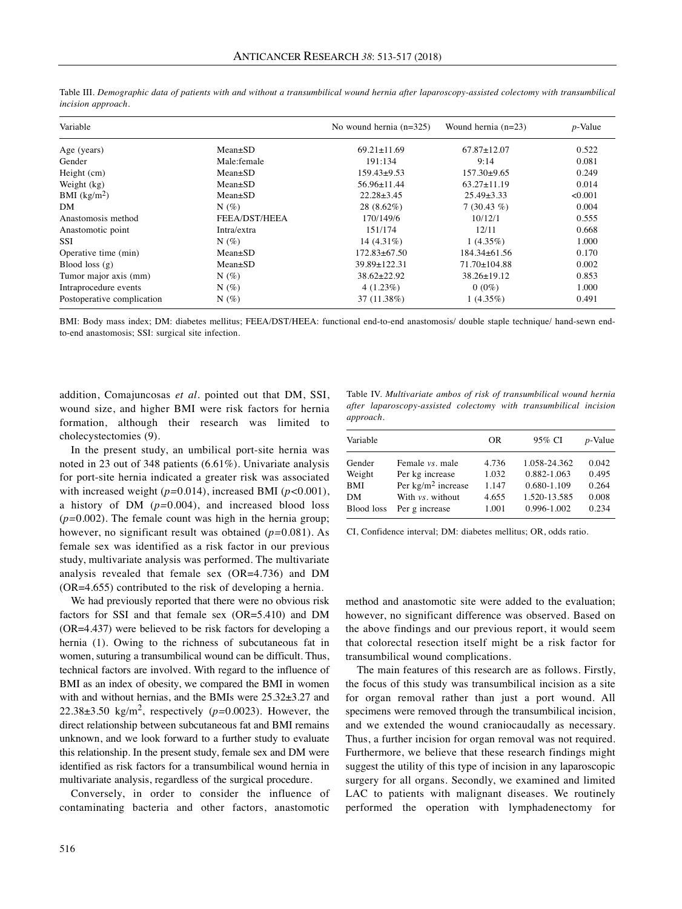| Variable                   |               | No wound hernia $(n=325)$ | Wound hernia $(n=23)$ | $p$ -Value |
|----------------------------|---------------|---------------------------|-----------------------|------------|
| Age (years)                | $Mean \pm SD$ | $69.21 \pm 11.69$         | $67.87 \pm 12.07$     | 0.522      |
| Gender                     | Male:female   | 191:134                   | 9:14                  | 0.081      |
| Height (cm)                | $Mean \pm SD$ | $159.43 \pm 9.53$         | $157.30\pm9.65$       | 0.249      |
| Weight (kg)                | $Mean \pm SD$ | $56.96 \pm 11.44$         | $63.27 \pm 11.19$     | 0.014      |
| BMI $(kg/m2)$              | $Mean \pm SD$ | $22.28 \pm 3.45$          | $25.49 \pm 3.33$      | < 0.001    |
| DM                         | $N(\%)$       | $28(8.62\%)$              | $7(30.43\%)$          | 0.004      |
| Anastomosis method         | FEEA/DST/HEEA | 170/149/6                 | 10/12/1               | 0.555      |
| Anastomotic point          | Intra/extra   | 151/174                   | 12/11                 | 0.668      |
| SSI                        | $N(\%)$       | $14(4.31\%)$              | $1(4.35\%)$           | 1.000      |
| Operative time (min)       | $Mean \pm SD$ | $172.83 \pm 67.50$        | 184.34±61.56          | 0.170      |
| Blood loss $(g)$           | $Mean \pm SD$ | 39.89±122.31              | $71.70 \pm 104.88$    | 0.002      |
| Tumor major axis (mm)      | $N(\%)$       | $38.62 \pm 22.92$         | $38.26 \pm 19.12$     | 0.853      |
| Intraprocedure events      | $N(\%)$       | 4(1.23%)                  | $0(0\%)$              | 1.000      |
| Postoperative complication | $N(\%)$       | 37 (11.38%)               | $1(4.35\%)$           | 0.491      |

Table III. Demographic data of patients with and without a transumbilical wound hernia after laparoscopy-assisted colectomy with transumbilical *incision approach.*

BMI: Body mass index; DM: diabetes mellitus; FEEA/DST/HEEA: functional end-to-end anastomosis/ double staple technique/ hand-sewn endto-end anastomosis; SSI: surgical site infection.

addition, Comajuncosas *et al.* pointed out that DM, SSI, wound size, and higher BMI were risk factors for hernia formation, although their research was limited to cholecystectomies (9).

In the present study, an umbilical port-site hernia was noted in 23 out of 348 patients (6.61%). Univariate analysis for port-site hernia indicated a greater risk was associated with increased weight (*p=*0.014), increased BMI (*p<*0.001), a history of DM (*p=*0.004), and increased blood loss (*p=*0.002). The female count was high in the hernia group; however, no significant result was obtained (*p=*0.081). As female sex was identified as a risk factor in our previous study, multivariate analysis was performed. The multivariate analysis revealed that female sex (OR=4.736) and DM (OR=4.655) contributed to the risk of developing a hernia.

We had previously reported that there were no obvious risk factors for SSI and that female sex (OR=5.410) and DM (OR=4.437) were believed to be risk factors for developing a hernia (1). Owing to the richness of subcutaneous fat in women, suturing a transumbilical wound can be difficult. Thus, technical factors are involved. With regard to the influence of BMI as an index of obesity, we compared the BMI in women with and without hernias, and the BMIs were 25.32±3.27 and 22.38 $\pm$ 3.50 kg/m<sup>2</sup>, respectively ( $p$ =0.0023). However, the direct relationship between subcutaneous fat and BMI remains unknown, and we look forward to a further study to evaluate this relationship. In the present study, female sex and DM were identified as risk factors for a transumbilical wound hernia in multivariate analysis, regardless of the surgical procedure.

Conversely, in order to consider the influence of contaminating bacteria and other factors, anastomotic

Table IV. *Multivariate ambos of risk of transumbilical wound hernia after laparoscopy-assisted colectomy with transumbilical incision approach.*

| Variable          |                         | OR    | 95% CI       | $p$ -Value |
|-------------------|-------------------------|-------|--------------|------------|
| Gender            | Female <i>vs</i> , male | 4.736 | 1.058-24.362 | 0.042      |
| Weight            | Per kg increase         | 1.032 | 0.882-1.063  | 0.495      |
| <b>BMI</b>        | Per $kg/m^2$ increase   | 1.147 | 0.680-1.109  | 0.264      |
| DM                | With vs. without        | 4.655 | 1.520-13.585 | 0.008      |
| <b>Blood</b> loss | Per g increase          | 1.001 | 0.996-1.002  | 0.234      |

CI, Confidence interval; DM: diabetes mellitus; OR, odds ratio.

method and anastomotic site were added to the evaluation; however, no significant difference was observed. Based on the above findings and our previous report, it would seem that colorectal resection itself might be a risk factor for transumbilical wound complications.

The main features of this research are as follows. Firstly, the focus of this study was transumbilical incision as a site for organ removal rather than just a port wound. All specimens were removed through the transumbilical incision, and we extended the wound craniocaudally as necessary. Thus, a further incision for organ removal was not required. Furthermore, we believe that these research findings might suggest the utility of this type of incision in any laparoscopic surgery for all organs. Secondly, we examined and limited LAC to patients with malignant diseases. We routinely performed the operation with lymphadenectomy for